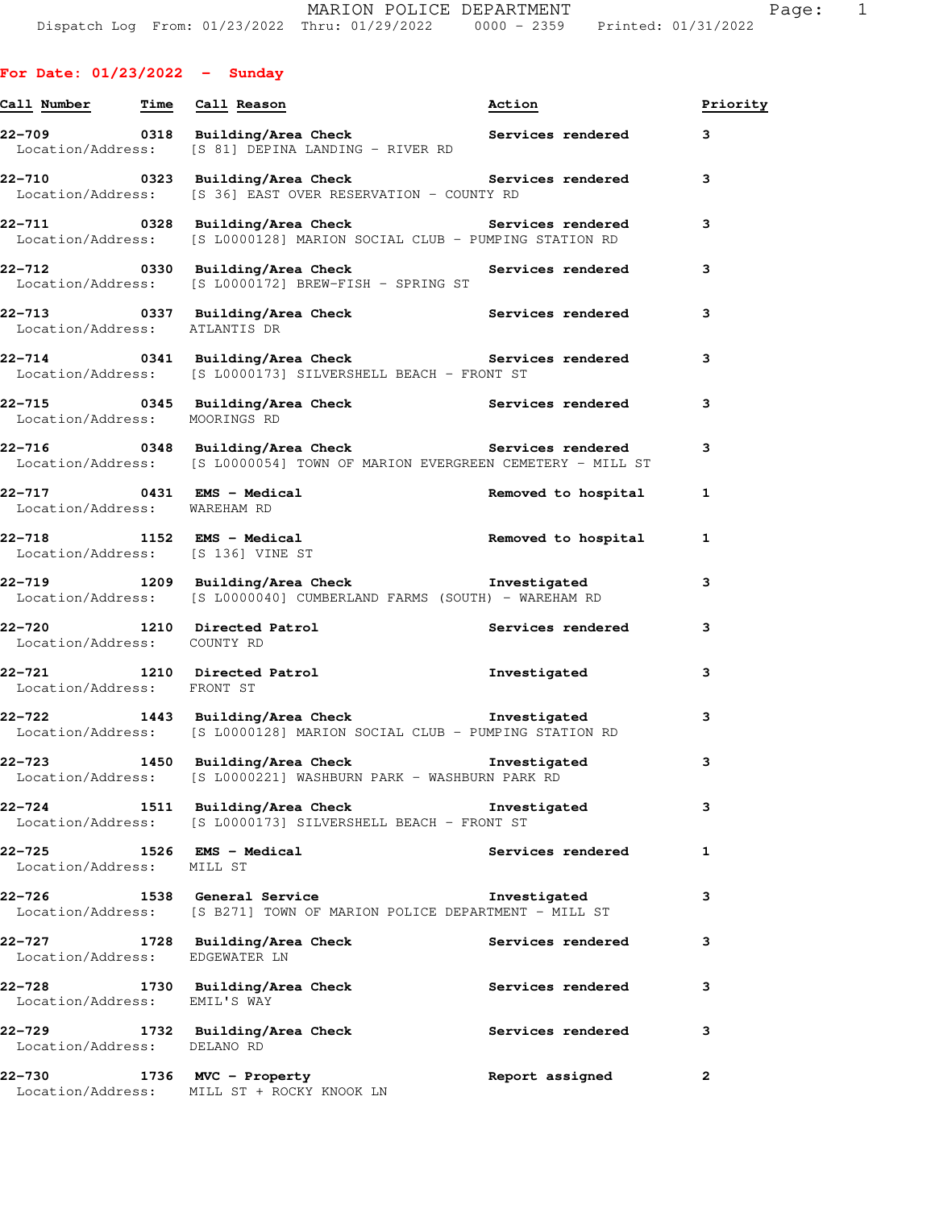|  | <b>For Date: 01/23/2022</b> |  |  |  | Sunday |
|--|-----------------------------|--|--|--|--------|
|--|-----------------------------|--|--|--|--------|

| Call Number Time Call Reason             |                                                                                                                                    | Action                   | Priority     |
|------------------------------------------|------------------------------------------------------------------------------------------------------------------------------------|--------------------------|--------------|
|                                          | Location/Address: [S 81] DEPINA LANDING - RIVER RD                                                                                 |                          | 3            |
|                                          | 22-710       0323  Building/Area Check          Services rendered<br>Location/Address: [S 36] EAST OVER RESERVATION - COUNTY RD    |                          | 3            |
|                                          | Location/Address: [S L0000128] MARION SOCIAL CLUB - PUMPING STATION RD                                                             |                          | 3            |
|                                          | 22-712 12 0330 Building/Area Check 1988 Services rendered<br>Location/Address: [S L0000172] BREW-FISH - SPRING ST                  |                          | 3            |
| Location/Address: ATLANTIS DR            | 22-713       0337  Building/Area Check          Services rendered                                                                  |                          | 3            |
|                                          | 22-714 120341 Building/Area Check 1988 Services rendered<br>Location/Address: [S L0000173] SILVERSHELL BEACH - FRONT ST            |                          | 3            |
| Location/Address: MOORINGS RD            | 22-715 0345 Building/Area Check Services rendered                                                                                  |                          | 3            |
|                                          | 22-716 0348 Building/Area Check Services rendered<br>Location/Address: [S L0000054] TOWN OF MARION EVERGREEN CEMETERY - MILL ST    |                          | 3            |
| Location/Address: WAREHAM RD             | 22-717 0431 EMS - Medical                                                                                                          | Removed to hospital      | $\mathbf{1}$ |
|                                          | Location/Address: [S 136] VINE ST                                                                                                  |                          | 1            |
|                                          | 22-719 1209 Building/Area Check <b>Thream</b> Investigated<br>Location/Address: [S L0000040] CUMBERLAND FARMS (SOUTH) - WAREHAM RD |                          | 3            |
| Location/Address: COUNTY RD              | 22-720 1210 Directed Patrol                                                                                                        | Services rendered        | 3            |
| Location/Address: FRONT ST               | 22-721 1210 Directed Patrol                                                                                                        | Investigated             | 3            |
|                                          | 22-722 1443 Building/Area Check Threstigated<br>Location/Address: [S L0000128] MARION SOCIAL CLUB - PUMPING STATION RD             |                          | 3            |
| 22–723                                   | 1450 Building/Area Check<br>Location/Address: [S L0000221] WASHBURN PARK - WASHBURN PARK RD                                        | Investigated             | 3            |
| 22-724                                   | 1511 Building/Area Check Threstigated<br>Location/Address: [S L0000173] SILVERSHELL BEACH - FRONT ST                               |                          | з            |
| 22–725<br>Location/Address: MILL ST      | 1526 EMS - Medical                                                                                                                 | <b>Services rendered</b> | 1            |
| 22–726                                   | 1538 General Service<br>Location/Address: [S B271] TOWN OF MARION POLICE DEPARTMENT - MILL ST                                      | Investigated             | з            |
| 22–727<br>Location/Address: EDGEWATER LN | 1728 Building/Area Check                                                                                                           | <b>Services rendered</b> | з            |
| 22–728<br>Location/Address: EMIL'S WAY   | 1730 Building/Area Check                                                                                                           | Services rendered        | 3            |
| 22–729<br>Location/Address: DELANO RD    | 1732 Building/Area Check                                                                                                           | <b>Services rendered</b> | 3            |
| 22-730                                   | 1736 MVC - Property<br>Location/Address: MILL ST + ROCKY KNOOK LN                                                                  | Report assigned          | 2            |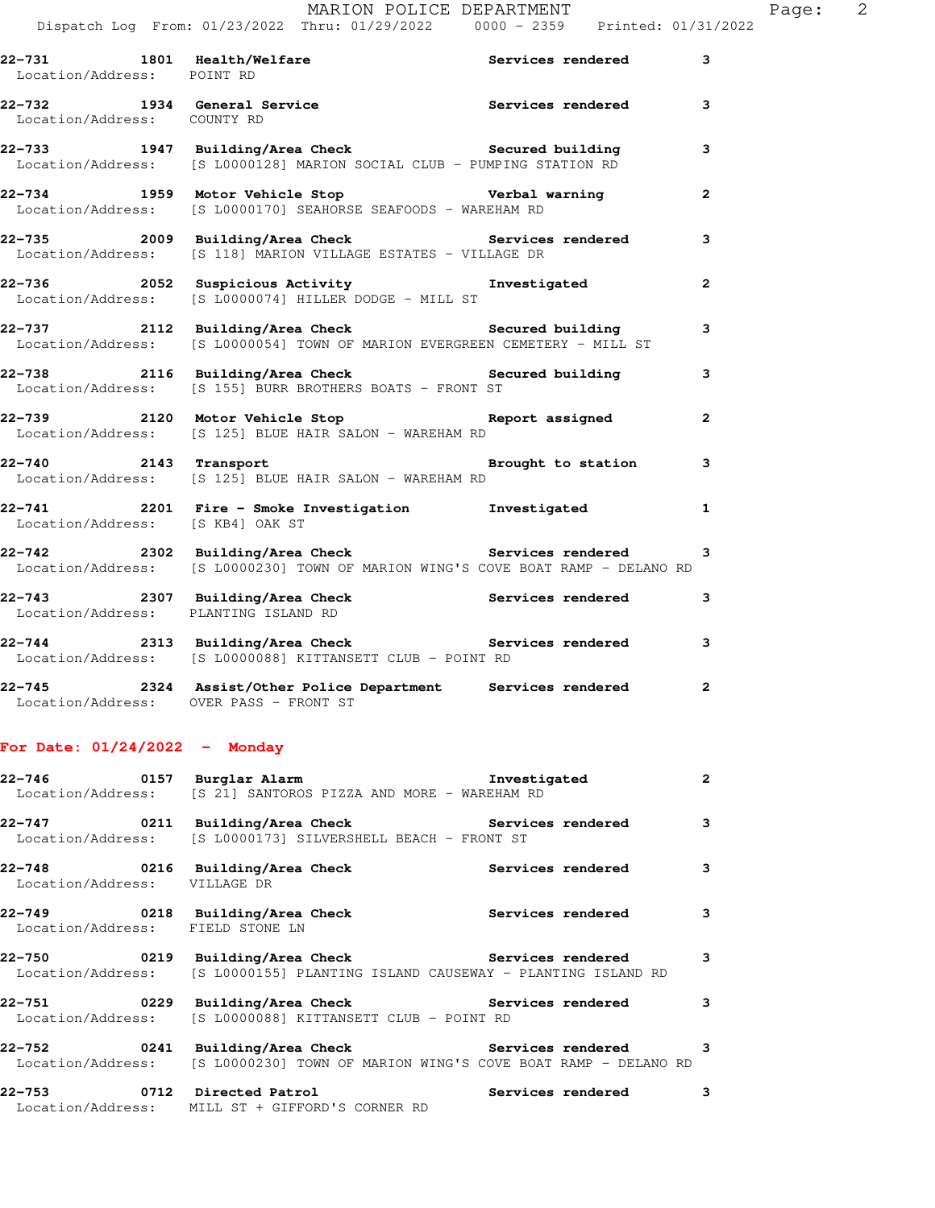| 22-731 1801 Health/Welfare<br>Location/Address: POINT RD |                                                                                                                                      | Services rendered | $\mathbf{3}$   |
|----------------------------------------------------------|--------------------------------------------------------------------------------------------------------------------------------------|-------------------|----------------|
| Location/Address: COUNTY RD                              | 22-732 1934 General Service <b>1988</b> Services rendered                                                                            |                   | 3              |
|                                                          | 22-733 1947 Building/Area Check Secured building<br>Location/Address: [S L0000128] MARION SOCIAL CLUB - PUMPING STATION RD           |                   | 3              |
|                                                          | 22-734 1959 Motor Vehicle Stop Verbal warning<br>Location/Address: [S L0000170] SEAHORSE SEAFOODS - WAREHAM RD                       |                   | $\overline{2}$ |
|                                                          | 22-735 2009 Building/Area Check Services rendered<br>Location/Address: [S 118] MARION VILLAGE ESTATES - VILLAGE DR                   |                   | $\mathbf{3}$   |
|                                                          | 22-736 2052 Suspicious Activity Investigated<br>Location/Address: [S L0000074] HILLER DODGE - MILL ST                                |                   | $\mathbf{2}$   |
|                                                          | 22-737 2112 Building/Area Check Secured building<br>Location/Address: [S L0000054] TOWN OF MARION EVERGREEN CEMETERY - MILL ST       |                   | $\mathbf{3}$   |
|                                                          | 22-738 2116 Building/Area Check Secured building<br>Location/Address: [S 155] BURR BROTHERS BOATS - FRONT ST                         |                   | 3              |
|                                                          | 22-739 2120 Motor Vehicle Stop Neport assigned 2<br>Location/Address: [S 125] BLUE HAIR SALON - WAREHAM RD                           |                   |                |
|                                                          | 22-740 2143 Transport 2008 Brought to station 3<br>Location/Address: [S 125] BLUE HAIR SALON - WAREHAM RD                            |                   |                |
| Location/Address: [S KB4] OAK ST                         | 22-741 2201 Fire - Smoke Investigation 1 Investigated 1                                                                              |                   |                |
|                                                          | 22-742 2302 Building/Area Check Services rendered<br>Location/Address: [S L0000230] TOWN OF MARION WING'S COVE BOAT RAMP - DELANO RD |                   | 3              |
| Location/Address: PLANTING ISLAND RD                     | 22-743 2307 Building/Area Check Services rendered                                                                                    |                   | 3              |
|                                                          | 22-744 2313 Building/Area Check <b>Services</b> rendered<br>Location/Address: [S L0000088] KITTANSETT CLUB - POINT RD                |                   | 3              |
|                                                          | 22-745 2324 Assist/Other Police Department Services rendered                                                                         |                   | $\mathbf{2}$   |

## **For Date: 01/24/2022 - Monday**

Location/Address: OVER PASS - FRONT ST

|                                                 | Location/Address: [S 21] SANTOROS PIZZA AND MORE - WAREHAM RD                                                                                  |          | $\overline{2}$ |
|-------------------------------------------------|------------------------------------------------------------------------------------------------------------------------------------------------|----------|----------------|
|                                                 | 22-747 			 0211 Building/Area Check 				 Services rendered<br>Location/Address: [S L0000173] SILVERSHELL BEACH - FRONT ST                      | $\sim$ 3 |                |
| Location/Address: VILLAGE DR                    |                                                                                                                                                |          | $\mathbf{3}$   |
| Location/Address: FIELD STONE LN                | 22-749 		 0218 Building/Area Check 		 Services rendered                                                                                        |          | $\mathbf{3}$   |
|                                                 | 22-750 			 0219 Building/Area Check 			 Services rendered<br>Location/Address: [S L0000155] PLANTING ISLAND CAUSEWAY - PLANTING ISLAND RD      |          | 3              |
|                                                 | 22-751 		 0229 Building/Area Check 		 Services rendered<br>Location/Address: [S L0000088] KITTANSETT CLUB - POINT RD                           |          | $\mathbf{3}$   |
|                                                 | 22-752 		 0241 Building/Area Check 		 Services rendered 3<br>  Location/Address: [S L0000230] TOWN OF MARION WING'S COVE BOAT RAMP - DELANO RD |          |                |
| Location/Address: MILL ST + GIFFORD'S CORNER RD | 22-753 0712 Directed Patrol 22-753 Services rendered                                                                                           |          | 3              |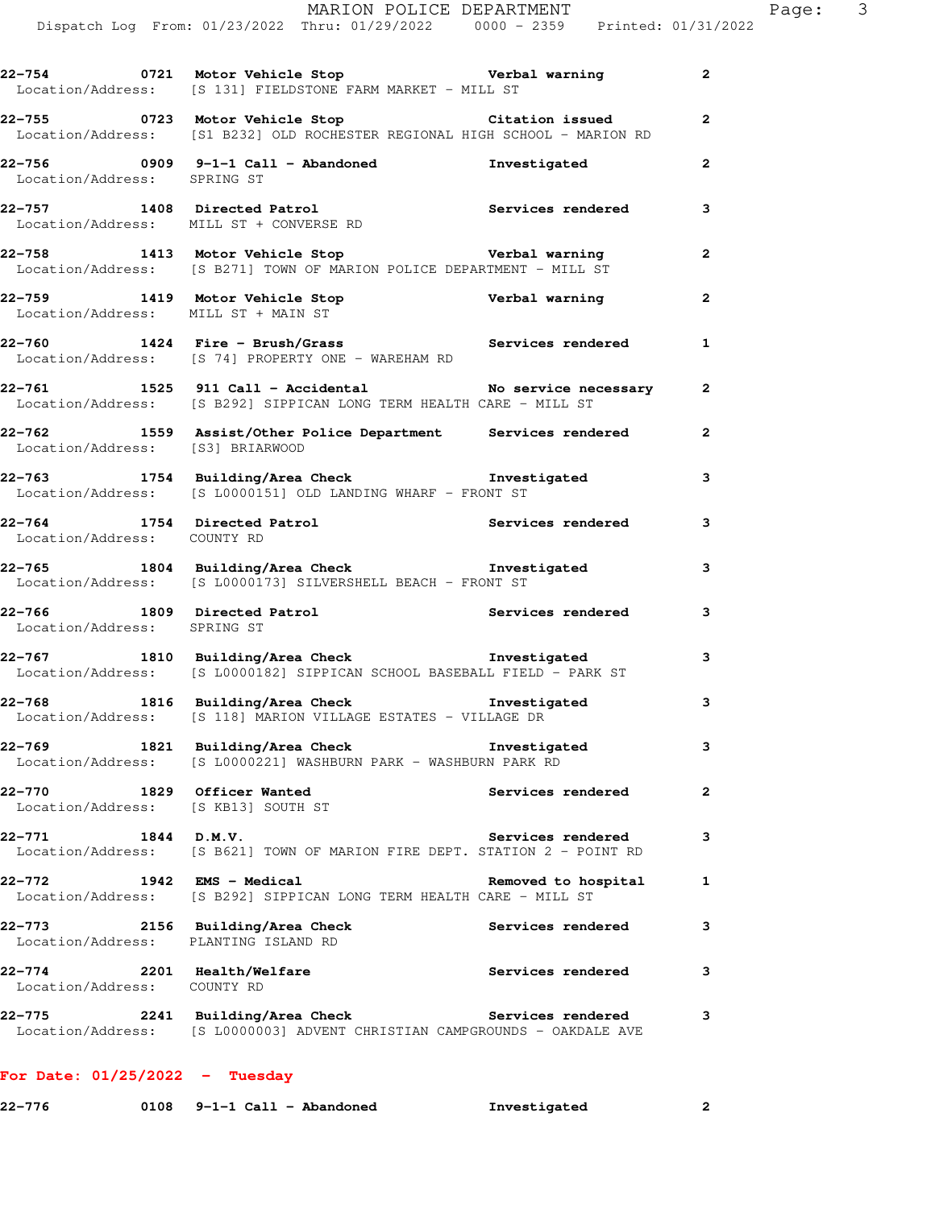|                                                                   | Dispatch Log From: 01/23/2022 Thru: 01/29/2022   0000 - 2359   Printed: 01/31/2022                                                                  | MARION POLICE DEPARTMENT |                         | Page: 3 |  |
|-------------------------------------------------------------------|-----------------------------------------------------------------------------------------------------------------------------------------------------|--------------------------|-------------------------|---------|--|
|                                                                   | 22-754 0721 Motor Vehicle Stop Verbal warning 2<br>Location/Address: [S 131] FIELDSTONE FARM MARKET - MILL ST                                       |                          |                         |         |  |
|                                                                   | 22-755 0723 Motor Vehicle Stop Citation issued<br>Location/Address: [S1 B232] OLD ROCHESTER REGIONAL HIGH SCHOOL - MARION RD                        |                          | $\overline{a}$          |         |  |
| Location/Address: SPRING ST                                       | 22-756 0909 9-1-1 Call - Abandoned Monostigated 2                                                                                                   |                          |                         |         |  |
|                                                                   | 22-757 1408 Directed Patrol 22-757 1408 2012<br>Location/Address: MILL ST + CONVERSE RD                                                             |                          |                         |         |  |
|                                                                   | 22-758 1413 Motor Vehicle Stop <b>120 Verbal warning</b> 2<br>Location/Address: [S B271] TOWN OF MARION POLICE DEPARTMENT - MILL ST                 |                          |                         |         |  |
|                                                                   | 22-759 1419 Motor Vehicle Stop Nerbal warning<br>Location/Address: MILL ST + MAIN ST                                                                |                          | $\overline{\mathbf{2}}$ |         |  |
|                                                                   | 22-760 1424 Fire - Brush/Grass Services rendered 1<br>Location/Address: [S 74] PROPERTY ONE - WAREHAM RD                                            |                          |                         |         |  |
|                                                                   | 22-761 1525 911 Call - Accidental No service necessary 2<br>Location/Address: [S B292] SIPPICAN LONG TERM HEALTH CARE - MILL ST                     |                          |                         |         |  |
|                                                                   | 22-762      1559  Assist/Other Police Department    Services rendered      2<br>Location/Address:   [S3] BRIARWOOD                                  |                          |                         |         |  |
|                                                                   | 22-763 1754 Building/Area Check Investigated 1754 Building/Area Check Investigated 3<br>Location/Address: [S L0000151] OLD LANDING WHARF - FRONT ST |                          |                         |         |  |
| Location/Address: COUNTY RD                                       | 22-764 1754 Directed Patrol Services rendered                                                                                                       |                          | $\mathbf{3}$            |         |  |
|                                                                   | 22-765 1804 Building/Area Check Investigated<br>Location/Address: [S L0000173] SILVERSHELL BEACH - FRONT ST                                         |                          | $\mathbf{3}$            |         |  |
| Location/Address: SPRING ST                                       | 22-766 1809 Directed Patrol (2008) Services rendered 3                                                                                              |                          |                         |         |  |
|                                                                   | 22-767 1810 Building/Area Check <b>The Investigated</b><br>Location/Address: [S L0000182] SIPPICAN SCHOOL BASEBALL FIELD - PARK ST                  |                          | 3                       |         |  |
|                                                                   | 22-768 1816 Building/Area Check <b>The Investigated</b><br>Location/Address: [S 118] MARION VILLAGE ESTATES - VILLAGE DR                            |                          | 3                       |         |  |
| Location/Address:                                                 | 22-769 1821 Building/Area Check <b>The Investigated</b><br>[S L0000221] WASHBURN PARK - WASHBURN PARK RD                                            |                          | 3                       |         |  |
| 22-770 1829 Officer Wanted<br>Location/Address: [S KB13] SOUTH ST |                                                                                                                                                     | Services rendered        | $\mathbf{2}$            |         |  |
| 22-771 1844 D.M.V.                                                | Location/Address: [S B621] TOWN OF MARION FIRE DEPT. STATION 2 - POINT RD                                                                           | <b>Services rendered</b> | з                       |         |  |
| 22-772 1942 EMS - Medical                                         | Location/Address: [S B292] SIPPICAN LONG TERM HEALTH CARE - MILL ST                                                                                 | Removed to hospital      | 1                       |         |  |
| Location/Address: PLANTING ISLAND RD                              | 22-773 2156 Building/Area Check                                                                                                                     | Services rendered        | 3                       |         |  |
| 22–774                                                            | 2201 Health/Welfare                                                                                                                                 | Services rendered        | 3                       |         |  |

**22-775 2241 Building/Area Check Services rendered 3**  Location/Address: [S L0000003] ADVENT CHRISTIAN CAMPGROUNDS - OAKDALE AVE

## **For Date: 01/25/2022 - Tuesday**

Location/Address: COUNTY RD

| 22-776 |  | $0108$ 9-1-1 Call - Abandoned | Investigated |  |
|--------|--|-------------------------------|--------------|--|
|--------|--|-------------------------------|--------------|--|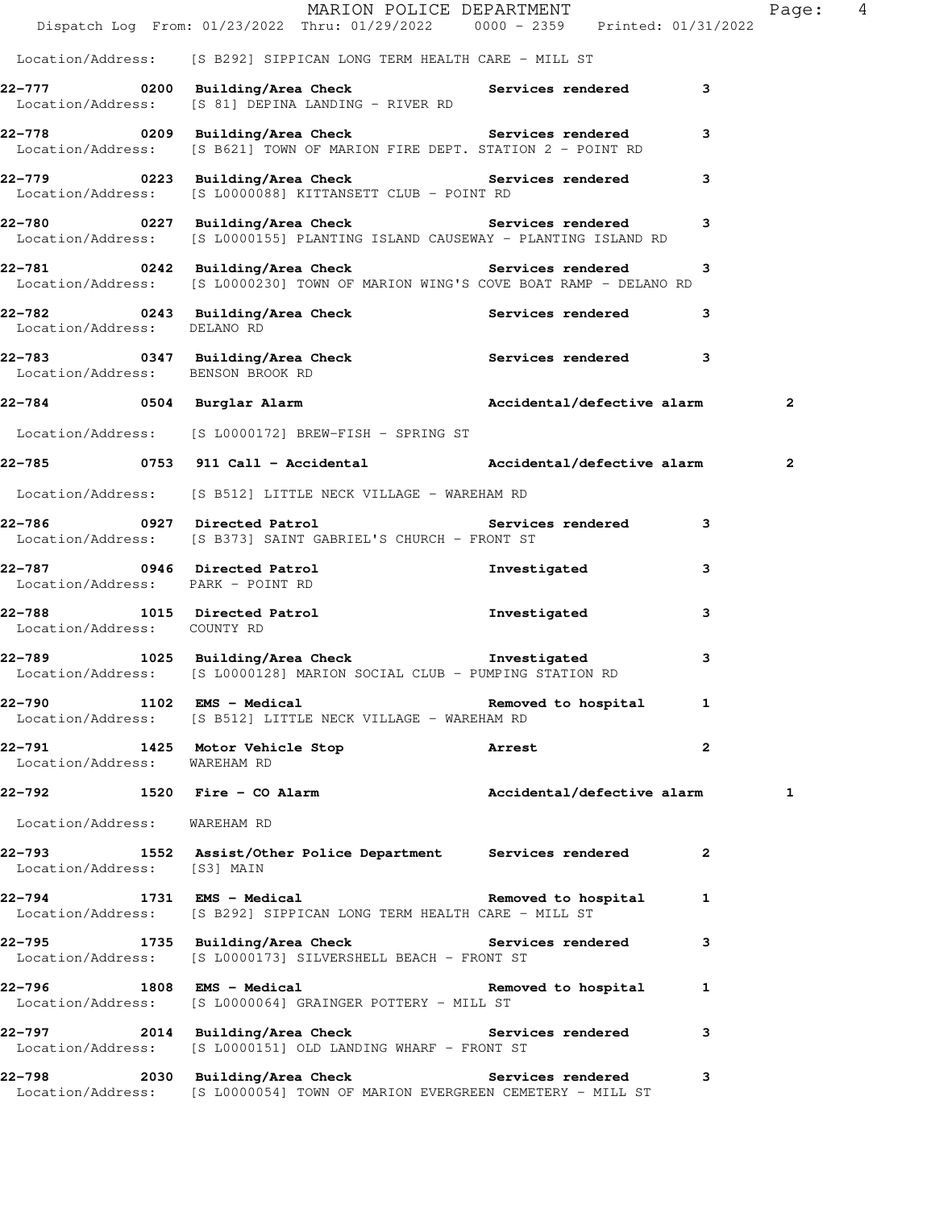|                                   | Dispatch Log From: 01/23/2022 Thru: 01/29/2022 0000 - 2359 Printed: 01/31/2022                                                       | MARION POLICE DEPARTMENT |              | Page: 4 |  |
|-----------------------------------|--------------------------------------------------------------------------------------------------------------------------------------|--------------------------|--------------|---------|--|
|                                   | Location/Address: [S B292] SIPPICAN LONG TERM HEALTH CARE - MILL ST                                                                  |                          |              |         |  |
|                                   | 22-777 0200 Building/Area Check 5 Services rendered 3<br>Location/Address: [S 81] DEPINA LANDING - RIVER RD                          |                          |              |         |  |
|                                   | 22-778 0209 Building/Area Check Services rendered<br>Location/Address: [S B621] TOWN OF MARION FIRE DEPT. STATION 2 - POINT RD       |                          | 3            |         |  |
|                                   | 22-779 		 0223 Building/Area Check 		 Services rendered<br>Location/Address: [S L0000088] KITTANSETT CLUB - POINT RD                 |                          | 3            |         |  |
|                                   | Location/Address: [S L0000155] PLANTING ISLAND CAUSEWAY - PLANTING ISLAND RD                                                         |                          | 3            |         |  |
|                                   | 22-781 0242 Building/Area Check Services rendered<br>Location/Address: [S L0000230] TOWN OF MARION WING'S COVE BOAT RAMP - DELANO RD |                          | 3            |         |  |
|                                   | 22-782 0243 Building/Area Check Services rendered<br>Location/Address: DELANO RD                                                     |                          | 3            |         |  |
| Location/Address: BENSON BROOK RD | 22-783 0347 Building/Area Check Services rendered 3                                                                                  |                          |              |         |  |
|                                   | 22-784 0504 Burglar Alarm (and Accidental/defective alarm                                                                            |                          |              | 2       |  |
|                                   | Location/Address: [S L0000172] BREW-FISH - SPRING ST                                                                                 |                          |              |         |  |
|                                   |                                                                                                                                      |                          |              | 2       |  |
|                                   | Location/Address: [S B512] LITTLE NECK VILLAGE - WAREHAM RD                                                                          |                          |              |         |  |
|                                   | Location/Address: [S B373] SAINT GABRIEL'S CHURCH - FRONT ST                                                                         |                          |              |         |  |
| Location/Address: PARK - POINT RD | 22-787 0946 Directed Patrol                                                                                                          | Investigated             | 3            |         |  |
| Location/Address: COUNTY RD       | 22-788 1015 Directed Patrol 111 Investigated                                                                                         |                          | 3            |         |  |
|                                   | 22-789 1025 Building/Area Check the Investigated<br>Location/Address: [S L0000128] MARION SOCIAL CLUB - PUMPING STATION RD           |                          | 3            |         |  |
|                                   | 22-790 1102 EMS - Medical 1 Removed to hospital 1<br>Location/Address: [S B512] LITTLE NECK VILLAGE - WAREHAM RD                     |                          |              |         |  |
| Location/Address: WAREHAM RD      | 22-791 1425 Motor Vehicle Stop 31 Arrest                                                                                             |                          | $\mathbf{2}$ |         |  |
|                                   | 22-792 1520 Fire - CO Alarm Accidental/defective alarm                                                                               |                          |              | 1       |  |
| Location/Address: WAREHAM RD      |                                                                                                                                      |                          |              |         |  |
|                                   | 22-793 1552 Assist/Other Police Department Services rendered<br>Location/Address: [S3] MAIN                                          |                          | 2            |         |  |
|                                   | 22-794 1731 EMS - Medical Removed to hospital<br>Location/Address: [S B292] SIPPICAN LONG TERM HEALTH CARE - MILL ST                 |                          | 1            |         |  |
|                                   | 22-795 1735 Building/Area Check Services rendered<br>Location/Address: [S L0000173] SILVERSHELL BEACH - FRONT ST                     |                          | 3            |         |  |
|                                   | 22-796 1808 EMS - Medical Nemoved to hospital<br>Location/Address: [S L0000064] GRAINGER POTTERY - MILL ST                           |                          | 1            |         |  |
|                                   | 22-797 2014 Building/Area Check Services rendered<br>Location/Address: [S L0000151] OLD LANDING WHARF - FRONT ST                     |                          | 3            |         |  |
|                                   | 22-798 2030 Building/Area Check Services rendered<br>Location/Address: [S L0000054] TOWN OF MARION EVERGREEN CEMETERY - MILL ST      |                          | 3            |         |  |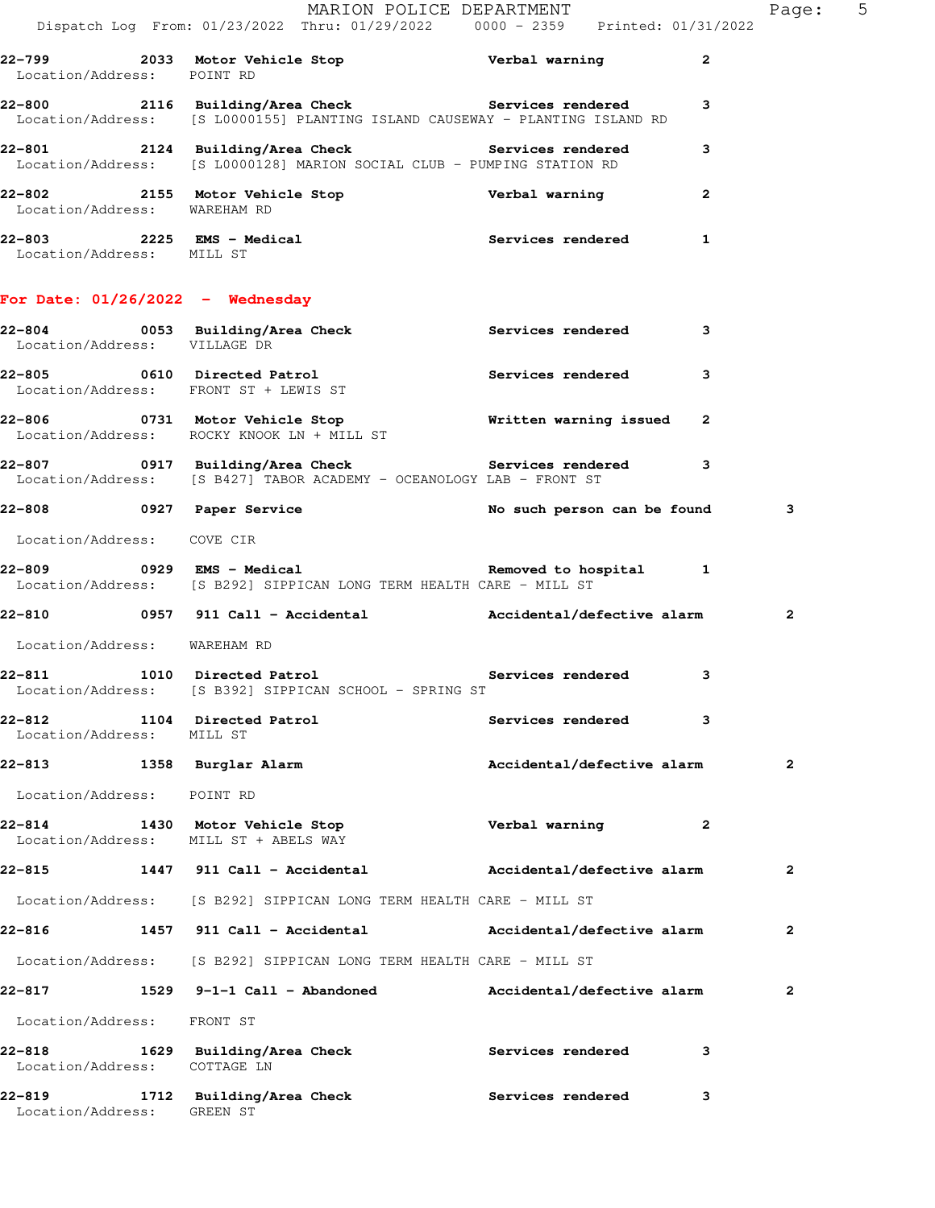|                                     |                                            | MARION POLICE DEPARTMENT<br>Dispatch Log From: 01/23/2022 Thru: 01/29/2022   0000 - 2359   Printed: 01/31/2022                     |                            |              | Page: 5      |  |
|-------------------------------------|--------------------------------------------|------------------------------------------------------------------------------------------------------------------------------------|----------------------------|--------------|--------------|--|
| Location/Address: POINT RD          |                                            | 22-799 2033 Motor Vehicle Stop Nerbal warning                                                                                      |                            | $\mathbf{2}$ |              |  |
|                                     |                                            | 22-800 2116 Building/Area Check Services rendered<br>Location/Address: [S L0000155] PLANTING ISLAND CAUSEWAY - PLANTING ISLAND RD  |                            | 3            |              |  |
|                                     |                                            | 22-801 2124 Building/Area Check Services rendered<br>Location/Address: [S L0000128] MARION SOCIAL CLUB - PUMPING STATION RD        |                            | 3            |              |  |
| Location/Address: WAREHAM RD        |                                            | 22-802 2155 Motor Vehicle Stop Nerbal warning                                                                                      |                            | $\mathbf{2}$ |              |  |
| Location/Address: MILL ST           |                                            | 22-803 2225 EMS - Medical 2008 Services rendered                                                                                   |                            | $\mathbf{1}$ |              |  |
|                                     | For Date: $01/26/2022$ - Wednesday         |                                                                                                                                    |                            |              |              |  |
| Location/Address: VILLAGE DR        |                                            | 22-804 		 0053 Building/Area Check 		 Services rendered                                                                            |                            | 3            |              |  |
|                                     | Location/Address: FRONT ST + LEWIS ST      | 22-805 0610 Directed Patrol                                                                                                        | Services rendered          | 3            |              |  |
|                                     | Location/Address: ROCKY KNOOK LN + MILL ST | 22-806 1731 Motor Vehicle Stop 1988 Minitten warning issued 2                                                                      |                            |              |              |  |
|                                     |                                            | 22-807 0917 Building/Area Check Services rendered<br>Location/Address: [S B427] TABOR ACADEMY - OCEANOLOGY LAB - FRONT ST          |                            | 3            |              |  |
|                                     |                                            | 22-808       0927  Paper Service             No such person can be found                                                           |                            |              | 3            |  |
| Location/Address: COVE CIR          |                                            |                                                                                                                                    |                            |              |              |  |
|                                     |                                            | 22-809 		 0929 EMS - Medical 		 Phone Removed to hospital 1<br>Location/Address: [S B292] SIPPICAN LONG TERM HEALTH CARE - MILL ST |                            |              |              |  |
|                                     |                                            | 22-810 0957 911 Call - Accidental                 Accidental/defective alarm                                                       |                            |              | $\mathbf{2}$ |  |
| Location/Address: WAREHAM RD        |                                            |                                                                                                                                    |                            |              |              |  |
|                                     |                                            | 22-811 1010 Directed Patrol 1010 22-811<br>Location/Address: [S B392] SIPPICAN SCHOOL - SPRING ST                                  |                            | 3            |              |  |
| 22-812<br>Location/Address: MILL ST | 1104 Directed Patrol                       |                                                                                                                                    | <b>Services rendered</b>   | 3            |              |  |
|                                     | 22-813 1358 Burglar Alarm                  |                                                                                                                                    | Accidental/defective alarm |              | $\mathbf{2}$ |  |
| Location/Address: POINT RD          |                                            |                                                                                                                                    |                            |              |              |  |
|                                     | Location/Address: MILL ST + ABELS WAY      | 22-814 1430 Motor Vehicle Stop Nerbal warning                                                                                      |                            | $\mathbf{2}$ |              |  |
|                                     |                                            | 22-815 1447 911 Call - Accidental                   Accidental/defective alarm                                                     |                            |              | $\mathbf{2}$ |  |
|                                     |                                            | Location/Address: [S B292] SIPPICAN LONG TERM HEALTH CARE - MILL ST                                                                |                            |              |              |  |
|                                     |                                            | 22-816 1457 911 Call - Accidental                 Accidental/defective alarm                                                       |                            |              | $\mathbf{2}$ |  |
|                                     |                                            | Location/Address: [S B292] SIPPICAN LONG TERM HEALTH CARE - MILL ST                                                                |                            |              |              |  |
|                                     |                                            | 22-817 1529 9-1-1 Call - Abandoned Mccidental/defective alarm                                                                      |                            |              | 2            |  |
| Location/Address: FRONT ST          |                                            |                                                                                                                                    |                            |              |              |  |
| Location/Address: COTTAGE LN        | 22-818 1629 Building/Area Check            |                                                                                                                                    | <b>Services rendered</b>   | 3            |              |  |
|                                     | 22-819 1712 Building/Area Check            |                                                                                                                                    | Services rendered          | 3            |              |  |

Location/Address: GREEN ST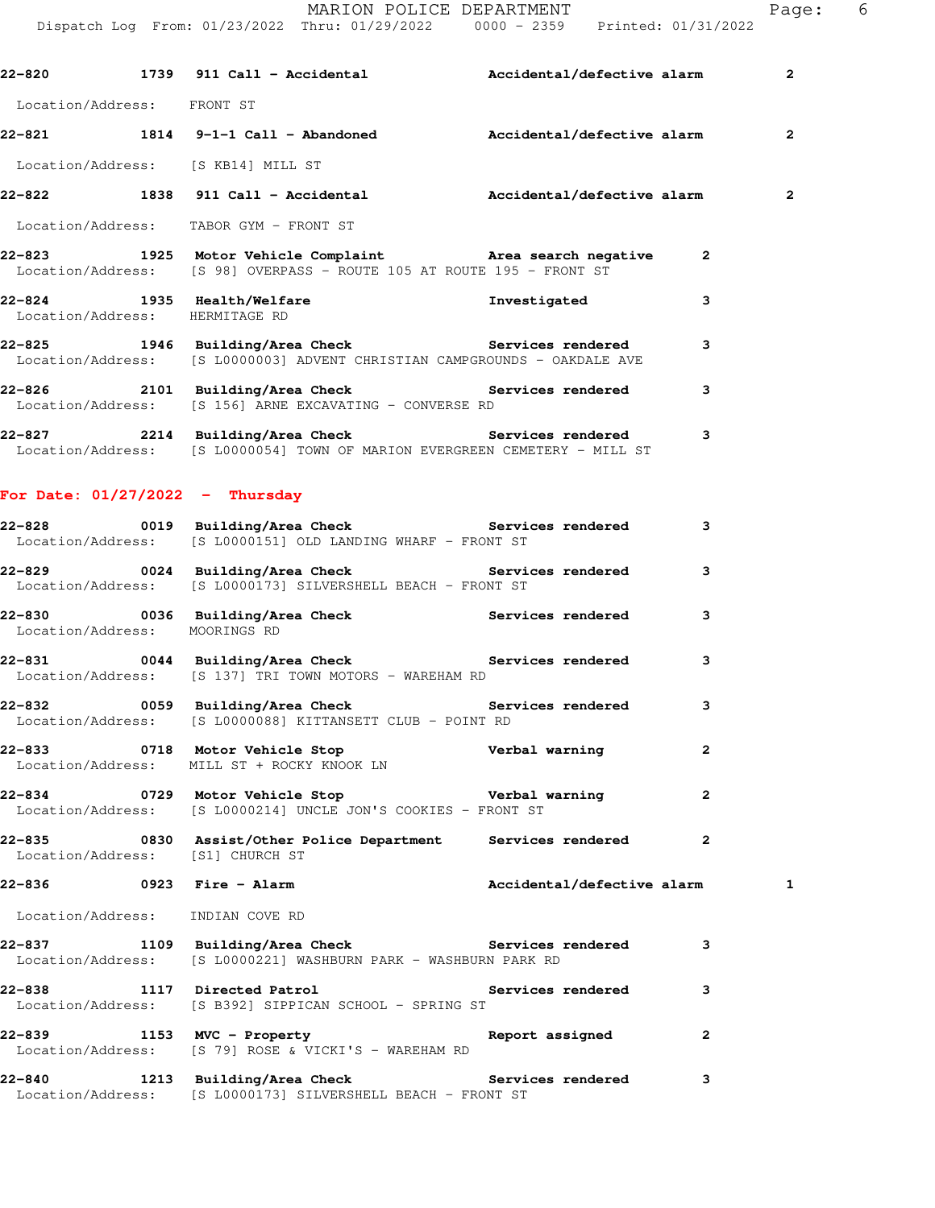**22-820 1739 911 Call - Accidental Accidental/defective alarm 2** Location/Address: FRONT ST **22-821 1814 9-1-1 Call - Abandoned Accidental/defective alarm 2** Location/Address: [S KB14] MILL ST **22-822 1838 911 Call - Accidental Accidental/defective alarm 2** Location/Address: TABOR GYM - FRONT ST **22-823 1925 Motor Vehicle Complaint Area search negative 2**  Location/Address: [S 98] OVERPASS - ROUTE 105 AT ROUTE 195 - FRONT ST **22-824 1935 Health/Welfare Investigated 3**  Location/Address: HERMITAGE RD **22-825 1946 Building/Area Check Services rendered 3**  Location/Address: [S L0000003] ADVENT CHRISTIAN CAMPGROUNDS - OAKDALE AVE **22-826 2101 Building/Area Check Services rendered 3**  Location/Address: [S 156] ARNE EXCAVATING - CONVERSE RD **22-827 2214 Building/Area Check Services rendered 3**  Location/Address: [S L0000054] TOWN OF MARION EVERGREEN CEMETERY - MILL ST **For Date: 01/27/2022 - Thursday 22-828 0019 Building/Area Check Services rendered 3**  Location/Address: [S L0000151] OLD LANDING WHARF - FRONT ST **22-829 0024 Building/Area Check Services rendered 3**  Location/Address: [S L0000173] SILVERSHELL BEACH - FRONT ST **22-830 0036 Building/Area Check Services rendered 3**  Location/Address: MOORINGS RD **22-831 0044 Building/Area Check Services rendered 3**  Location/Address: [S 137] TRI TOWN MOTORS - WAREHAM RD **22-832 0059 Building/Area Check Services rendered 3**  Location/Address: [S L0000088] KITTANSETT CLUB - POINT RD **22-833 0718 Motor Vehicle Stop Verbal warning 2**  Location/Address: MILL ST + ROCKY KNOOK LN **22-834 0729 Motor Vehicle Stop Verbal warning 2**  Location/Address: [S L0000214] UNCLE JON'S COOKIES - FRONT ST **22-835 0830 Assist/Other Police Department Services rendered 2**  Location/Address: [S1] CHURCH ST **22-836 0923 Fire - Alarm Accidental/defective alarm 1** Location/Address: INDIAN COVE RD **22-837 1109 Building/Area Check Services rendered 3**  Location/Address: [S L0000221] WASHBURN PARK - WASHBURN PARK RD **22-838 1117 Directed Patrol Services rendered 3**  Location/Address: [S B392] SIPPICAN SCHOOL - SPRING ST **22-839 1153 MVC - Property Report assigned 2**  Location/Address: [S 79] ROSE & VICKI'S - WAREHAM RD **22-840 1213 Building/Area Check Services rendered 3**  Location/Address: [S L0000173] SILVERSHELL BEACH - FRONT ST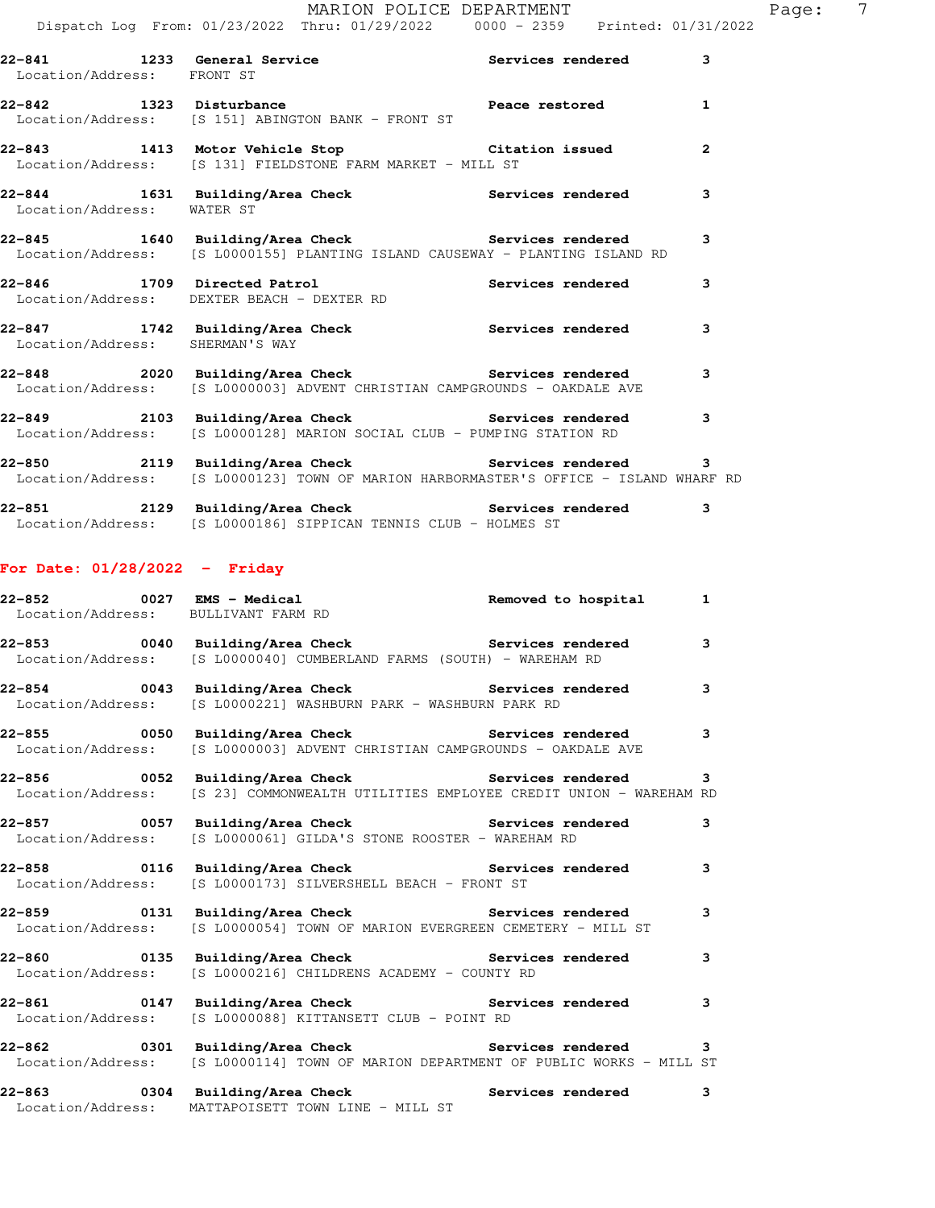| Location/Address: FRONT ST      | 22-841 1233 General Service the Services rendered                                                                                          | 3              |
|---------------------------------|--------------------------------------------------------------------------------------------------------------------------------------------|----------------|
|                                 | 22-842 1323 Disturbance and Peace restored<br>Location/Address: [S 151] ABINGTON BANK - FRONT ST                                           | $\mathbf{1}$   |
|                                 | 22-843 1413 Motor Vehicle Stop Citation issued<br>Location/Address: [S 131] FIELDSTONE FARM MARKET - MILL ST                               | $\overline{2}$ |
| Location/Address: WATER ST      | 22-844 1631 Building/Area Check Services rendered                                                                                          | 3              |
|                                 | 22-845 1640 Building/Area Check Services rendered<br>Location/Address: [S L0000155] PLANTING ISLAND CAUSEWAY - PLANTING ISLAND RD          | $\overline{3}$ |
|                                 | 22-846 1709 Directed Patrol <b>1988</b> Services rendered<br>Location/Address: DEXTER BEACH - DEXTER RD                                    | 3              |
| Location/Address: SHERMAN'S WAY | 22-847 1742 Building/Area Check Services rendered                                                                                          | $\overline{3}$ |
|                                 | 22-848 2020 Building/Area Check Services rendered<br>Location/Address: [S L0000003] ADVENT CHRISTIAN CAMPGROUNDS - OAKDALE AVE             | 3              |
|                                 | 22-849 2103 Building/Area Check Services rendered<br>Location/Address: [S L0000128] MARION SOCIAL CLUB - PUMPING STATION RD                | $\overline{3}$ |
|                                 | 22-850 2119 Building/Area Check Services rendered<br>Location/Address: [S L0000123] TOWN OF MARION HARBORMASTER'S OFFICE - ISLAND WHARF RD | $\mathbf{3}$   |
|                                 | 22-851 2129 Building/Area Check Services rendered                                                                                          | 3              |

# Location/Address: [S L0000186] SIPPICAN TENNIS CLUB - HOLMES ST

### **For Date: 01/28/2022 - Friday**

| -- محمد محمد محمد محمد العماد العامل العامل المحمد بن العمل العمل العمل العمل العمل العمل العمل العمل العمل ال<br>المحمد العمل العمل العمل العمل العمل العمل العمل العمل العمل العمل العمل العمل العمل العمل العمل العمل العمل ا |                         |
|----------------------------------------------------------------------------------------------------------------------------------------------------------------------------------------------------------------------------------|-------------------------|
| 22-853 0040 Building/Area Check 5ervices rendered 3<br>Location/Address: [S L0000040] CUMBERLAND FARMS (SOUTH) - WAREHAM RD                                                                                                      |                         |
| 22-854 0043 Building/Area Check 5 Services rendered 3<br>Location/Address: [S L0000221] WASHBURN PARK - WASHBURN PARK RD                                                                                                         |                         |
| 22-855 0050 Building/Area Check 5 Services rendered 3<br>Location/Address: [S L0000003] ADVENT CHRISTIAN CAMPGROUNDS - OAKDALE AVE                                                                                               |                         |
| 22-856 		 0052 Building/Area Check 		 Services rendered<br>Location/Address: [S 23] COMMONWEALTH UTILITIES EMPLOYEE CREDIT UNION - WAREHAM RD                                                                                    | $\mathbf{3}$            |
| 22-857       0057  Building/Area Check          Services rendered<br>Location/Address: [S L0000061] GILDA'S STONE ROOSTER - WAREHAM RD                                                                                           | 3                       |
| 22-858 		 0116 Building/Area Check 		 Services rendered 3<br>Location/Address: [S L0000173] SILVERSHELL BEACH - FRONT ST                                                                                                         |                         |
| 22-859 		 0131 Building/Area Check 		 Services rendered<br>Location/Address: [S L0000054] TOWN OF MARION EVERGREEN CEMETERY - MILL ST                                                                                            | $\overline{\mathbf{3}}$ |
| Location/Address: [S L0000216] CHILDRENS ACADEMY - COUNTY RD                                                                                                                                                                     | 3                       |
| 22-861 		 0147 Building/Area Check 		 Services rendered 3<br>Location/Address: [S L0000088] KITTANSETT CLUB - POINT RD                                                                                                           |                         |
| 22-862 		 0301 Building/Area Check 		 Services rendered 3<br>Location/Address: [S L0000114] TOWN OF MARION DEPARTMENT OF PUBLIC WORKS - MILL ST                                                                                  |                         |
| 22-863 			 0304 Building/Area Check 			 Services rendered<br>Location/Address: MATTAPOISETT TOWN LINE - MILL ST                                                                                                                  | $\mathbf{3}$            |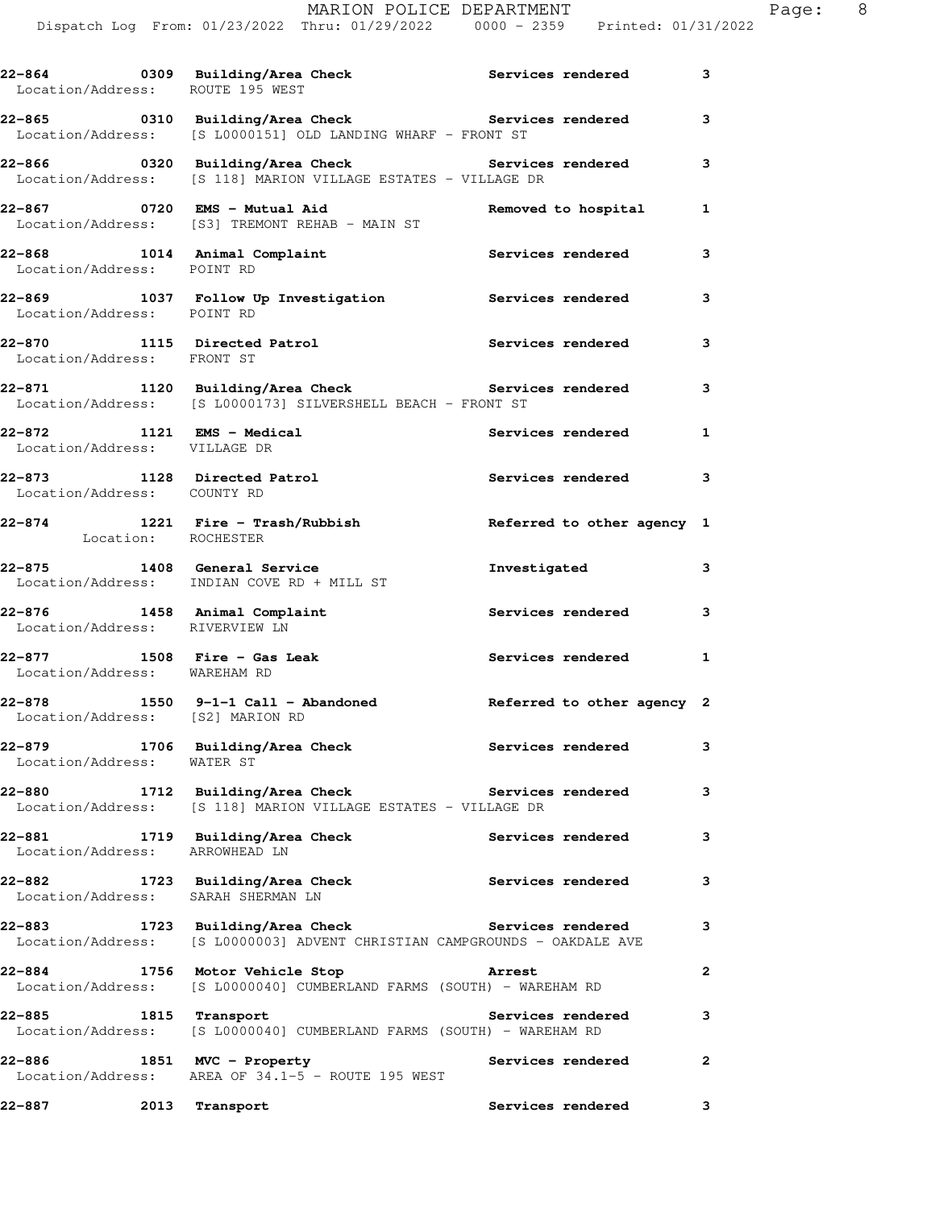| Location/Address: ROUTE 195 WEST                               | 22-864 		 0309 Building/Area Check 		 Services rendered                                                                |                            | 3              |
|----------------------------------------------------------------|------------------------------------------------------------------------------------------------------------------------|----------------------------|----------------|
|                                                                | 22-865 		 0310 Building/Area Check 		 Services rendered<br>Location/Address: [S L0000151] OLD LANDING WHARF - FRONT ST |                            | 3              |
|                                                                | Location/Address: [S 118] MARION VILLAGE ESTATES - VILLAGE DR                                                          |                            | 3              |
|                                                                | 22-867 0720 EMS - Mutual Aid<br>Location/Address: [S3] TREMONT REHAB - MAIN ST                                         | Removed to hospital        | 1              |
| Location/Address: POINT RD                                     | 22-868 1014 Animal Complaint the Services rendered                                                                     |                            | 3              |
| Location/Address: POINT RD                                     | 22-869 1037 Follow Up Investigation Services rendered                                                                  |                            | 3              |
| Location/Address: FRONT ST                                     | 22-870 1115 Directed Patrol 1997 Services rendered                                                                     |                            | 3              |
|                                                                | 22-871 1120 Building/Area Check the Services rendered<br>Location/Address: [S L0000173] SILVERSHELL BEACH - FRONT ST   |                            | 3              |
| 22-872 1121 EMS - Medical<br>Location/Address: VILLAGE DR      |                                                                                                                        | Services rendered          | 1              |
| 22-873 1128 Directed Patrol                                    |                                                                                                                        | Services rendered 3        |                |
| Location/Address: COUNTY RD                                    | 22-874<br>Location: ROCHESTER<br>Location: ROCHESTER                                                                   |                            |                |
|                                                                | 22-875 1408 General Service                                                                                            | Investigated               | 3              |
|                                                                | Location/Address: INDIAN COVE RD + MILL ST                                                                             |                            |                |
| 22-876 1458 Animal Complaint<br>Location/Address: RIVERVIEW LN |                                                                                                                        | Services rendered          | 3              |
| $22-877$ 1508 Fire - Gas Leak<br>Location/Address: WAREHAM RD  |                                                                                                                        | <b>Services rendered</b> 1 |                |
| Location/Address: [S2] MARION RD                               | 22-878 1550 9-1-1 Call - Abandoned Referred to other agency 2                                                          |                            |                |
| 22-879<br>Location/Address: WATER ST                           | 1706 Building/Area Check                                                                                               | Services rendered          | 3              |
|                                                                | 22-880 1712 Building/Area Check Services rendered<br>Location/Address: [S 118] MARION VILLAGE ESTATES - VILLAGE DR     |                            | 3              |
| 22-881<br>Location/Address:                                    | 1719 Building/Area Check<br>ARROWHEAD LN                                                                               | Services rendered          | 3              |
| 22-882 1723 Building/Area Check<br>Location/Address:           | SARAH SHERMAN LN                                                                                                       | Services rendered          | 3              |
| 22-883<br>Location/Address:                                    | 1723 Building/Area Check Services rendered<br>[S L0000003] ADVENT CHRISTIAN CAMPGROUNDS - OAKDALE AVE                  |                            | 3              |
|                                                                |                                                                                                                        |                            |                |
| 22-884<br>Location/Address:                                    | 1756 Motor Vehicle Stop<br>[S L0000040] CUMBERLAND FARMS (SOUTH) - WAREHAM RD                                          | <b>Arrest</b>              | $\overline{2}$ |
| 22-885 1815 Transport<br>Location/Address:                     | [S L0000040] CUMBERLAND FARMS (SOUTH) - WAREHAM RD                                                                     | Services rendered          | 3              |
| 22-886<br>Location/Address:                                    | 1851 MVC - Property<br>AREA OF 34.1-5 - ROUTE 195 WEST                                                                 | Services rendered          | 2              |
| 22-887<br>2013                                                 | Transport                                                                                                              | Services rendered          | 3              |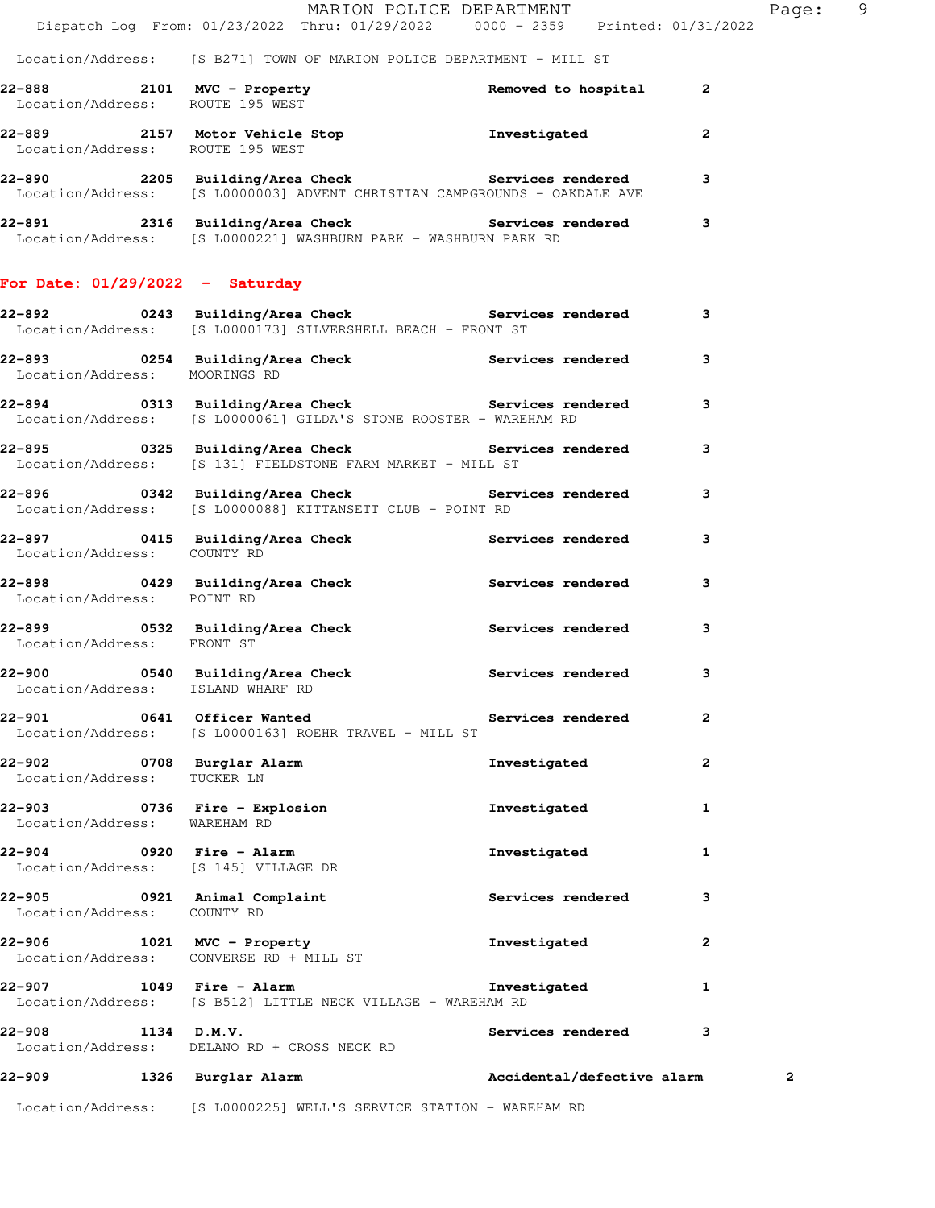#### Location/Address: [S B271] TOWN OF MARION POLICE DEPARTMENT - MILL ST

| 22-888                      | 2101 | $MVC$ - Property<br>Location/Address: ROUTE 195 WEST                           | Removed to hospital | -2 |
|-----------------------------|------|--------------------------------------------------------------------------------|---------------------|----|
| 22-889                      | 2157 | Motor Vehicle Stop<br>Location/Address: ROUTE 195 WEST                         | Investigated        |    |
| 22-890<br>Location/Address: | 2205 | Building/Area Check<br>[S L0000003] ADVENT CHRISTIAN CAMPGROUNDS - OAKDALE AVE | Services rendered   |    |

| 22-891            | 2316 Building/Area Check                      | <b>Services rendered</b> |  |
|-------------------|-----------------------------------------------|--------------------------|--|
| Location/Address: | IS L00002211 WASHBURN PARK - WASHBURN PARK RD |                          |  |

### **For Date: 01/29/2022 - Saturday**

|                               | 22-892       0243  Building/Area Check          Services rendered<br>Location/Address: [S L0000173] SILVERSHELL BEACH - FRONT ST |                     | 3              |
|-------------------------------|----------------------------------------------------------------------------------------------------------------------------------|---------------------|----------------|
| Location/Address: MOORINGS RD | 22-893 0254 Building/Area Check 1997 Services rendered 3                                                                         |                     |                |
|                               | 22-894 0313 Building/Area Check <b>Services</b> rendered<br>Location/Address: [S L0000061] GILDA'S STONE ROOSTER - WAREHAM RD    |                     | $\mathbf{3}$   |
|                               | 22-895 0325 Building/Area Check the Services rendered 3<br>Location/Address: [S 131] FIELDSTONE FARM MARKET - MILL ST            |                     |                |
|                               | 22-896 0342 Building/Area Check Services rendered 3<br>Location/Address: [S L0000088] KITTANSETT CLUB - POINT RD                 |                     |                |
| Location/Address: COUNTY RD   | 22-897 120 0415 Building/Area Check 1988 Services rendered 13                                                                    |                     |                |
| Location/Address: POINT RD    | 22-898 0429 Building/Area Check                                                                                                  | Services rendered   | 3              |
| Location/Address: FRONT ST    | 22-899 0532 Building/Area Check Services rendered                                                                                |                     | 3              |
|                               | 22-900 0540 Building/Area Check Services rendered Location/Address: ISLAND WHARF RD                                              |                     | $\mathbf{3}$   |
|                               | 22-901 0641 Officer Wanted <b>Services</b> rendered 2<br>Location/Address: [S L0000163] ROEHR TRAVEL - MILL ST                   |                     |                |
| Location/Address: TUCKER LN   | 22-902 <b>122 1233 1334 1346 1347 1347 1348 1349 1348</b> 1348 1349 1348 1349 1348 1349 1348 1349 1348 1349 1348 134             | Investigated        | $\overline{a}$ |
| Location/Address: WAREHAM RD  | 22-903 0736 Fire - Explosion and the Investigated                                                                                |                     | $\mathbf{1}$   |
| 22-904 0920 Fire - Alarm      | Location/Address: [S 145] VILLAGE DR                                                                                             | Investigated        | $\mathbf{1}$   |
| Location/Address: COUNTY RD   | 22-905 0921 Animal Complaint 1997 Services rendered 3                                                                            |                     |                |
|                               | 22-906 1021 MVC - Property<br>Location/Address: CONVERSE RD + MILL ST                                                            | Investigated        | $\mathbf{2}$   |
|                               | 22-907 1049 Fire - Alarm<br>Location/Address: [S B512] LITTLE NECK VILLAGE - WAREHAM RD                                          | Investigated        | $\mathbf{1}$   |
| 22–908 1134 D.M.V.            | Location/Address: DELANO RD + CROSS NECK RD                                                                                      | Services rendered 3 |                |
|                               | 22-909 1326 Burglar Alarm                       Accidental/defective alarm                                                       |                     | 2              |
|                               |                                                                                                                                  |                     |                |